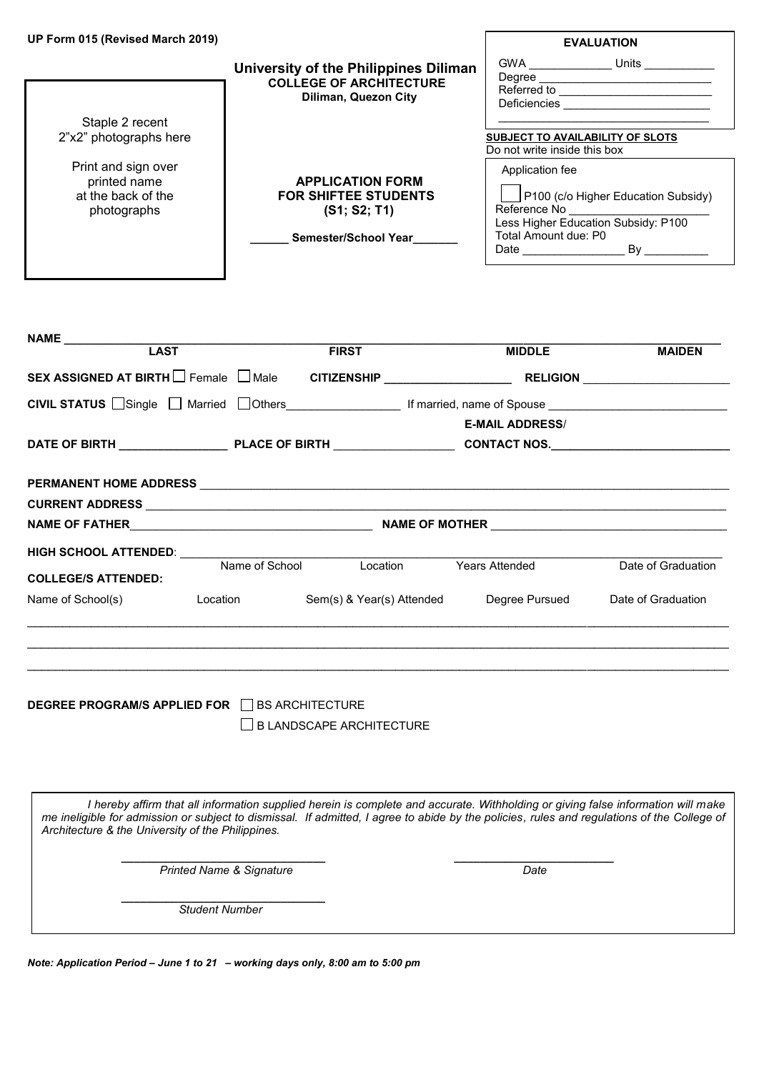| UP Form 015 (Revised March 2019)                                         |                                                                                                 | <b>EVALUATION</b>                                                                                                                                                                                                                                                        |
|--------------------------------------------------------------------------|-------------------------------------------------------------------------------------------------|--------------------------------------------------------------------------------------------------------------------------------------------------------------------------------------------------------------------------------------------------------------------------|
|                                                                          | University of the Philippines Diliman<br><b>COLLEGE OF ARCHITECTURE</b><br>Diliman, Quezon City | GWA<br>Units<br>Degree<br>Referred to the contract of the contract of the contract of the contract of the contract of the contract of the contract of the contract of the contract of the contract of the contract of the contract of the contract of th<br>Deficiencies |
| Staple 2 recent<br>2"x2" photographs here                                |                                                                                                 | SUBJECT TO AVAILABILITY OF SLOTS<br>Do not write inside this box                                                                                                                                                                                                         |
| Print and sign over<br>printed name<br>at the back of the<br>photographs | <b>APPLICATION FORM</b><br><b>FOR SHIFTEE STUDENTS</b><br>(S1; S2; T1)<br>Semester/School Year  | Application fee<br>P100 (c/o Higher Education Subsidy)<br>Reference No<br><br>Less Higher Education Subsidy: P100<br>Total Amount due: P0<br>Date and the set of the set of the set of the set of the set of the set of the set of the set of the set of the<br>Bv       |

| NAME LAST<br><b>FIRST</b><br><b>MIDDLE</b>                                                    | <b>MAIDEN</b> |
|-----------------------------------------------------------------------------------------------|---------------|
| SEX ASSIGNED AT BIRTH $\Box$ Female $\Box$ Male                                               |               |
| CIVIL STATUS Single Married Others [10] Married Tothers [10] If married, name of Spouse       |               |
| <b>E-MAIL ADDRESS/</b>                                                                        |               |
|                                                                                               |               |
|                                                                                               |               |
|                                                                                               |               |
|                                                                                               |               |
| HIGH SCHOOL ATTENDED: NAMEL AND THE SCHOOL ATTENDED:                                          |               |
| Name of School Location<br>Date of Graduation<br>Years Attended<br><b>COLLEGE/S ATTENDED:</b> |               |
| Sem(s) & Year(s) Attended Degree Pursued<br>Date of Graduation<br>Name of School(s) Location  |               |
|                                                                                               |               |

**DEGREE PROGRAM/S APPLIED FOR BS ARCHITECTURE** 

I

 $\square$  B LANDSCAPE ARCHITECTURE

*I hereby affirm that all information supplied herein is complete and accurate. Withholding or giving false information will make me ineligible for admission or subject to dismissal. If admitted, I agree to abide by the policies, rules and regulations of the College of Architecture & the University of the Philippines.*

\_\_\_\_\_\_\_\_\_\_\_\_\_\_\_\_\_\_\_\_\_\_\_\_\_\_\_\_\_\_\_\_\_\_\_\_\_\_\_\_\_\_\_\_\_\_\_\_\_\_\_\_\_\_\_\_\_\_\_\_\_\_\_\_\_\_\_\_\_\_\_\_\_\_\_\_\_\_\_\_\_\_\_\_\_\_\_\_\_\_\_\_\_\_\_\_\_\_\_

 *\_\_\_\_\_\_\_\_\_\_\_\_\_\_\_\_\_\_\_\_\_\_\_\_\_\_\_\_\_\_\_\_ \_\_\_\_\_\_\_\_\_\_\_\_\_\_\_\_\_\_\_\_\_\_\_\_\_ Printed Name & Signature* Date

 *Student Number* 

 *\_\_\_\_\_\_\_\_\_\_\_\_\_\_\_\_\_\_\_\_\_\_\_\_\_\_\_\_\_\_\_\_*

*Note: Application Period – June 1 to 21 – working days only, 8:00 am to 5:00 pm*